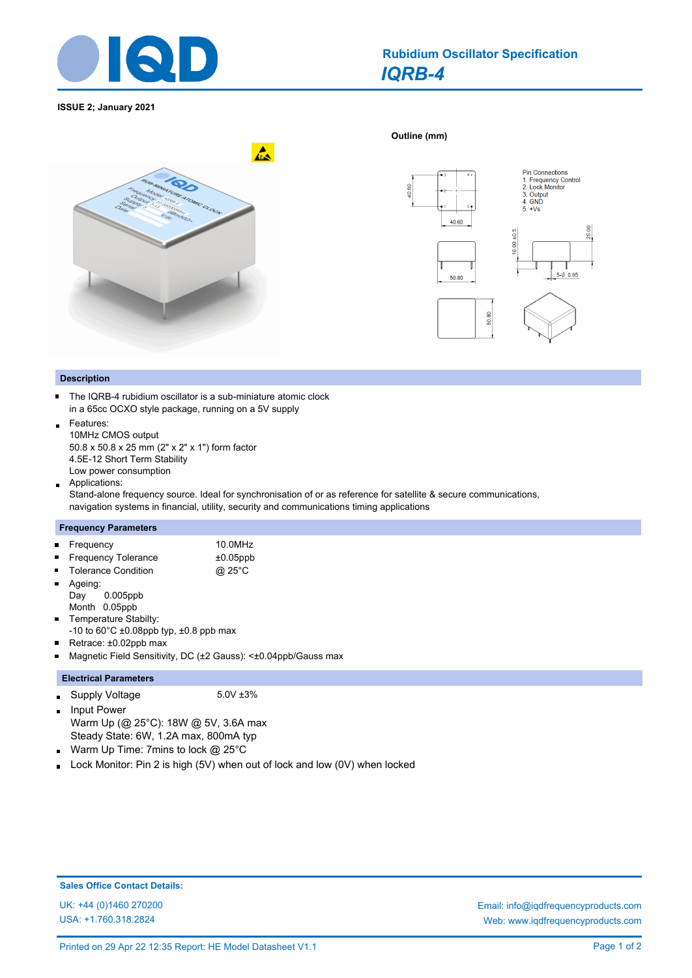

# *IQRB-4* **Rubidium Oscillator Specification**

**Outline (mm)** 

**ISSUE 2; January 2021**





## **Description**

The IQRB-4 rubidium oscillator is a sub-miniature atomic clock  $\blacksquare$ in a 65cc OCXO style package, running on a 5V supply

- Features:  $\blacksquare$ 10MHz CMOS output 50.8 x 50.8 x 25 mm (2" x 2" x 1") form factor 4.5E-12 Short Term Stability Low power consumption
- Applications:  $\blacksquare$

Stand-alone frequency source. Ideal for synchronisation of or as reference for satellite & secure communications, navigation systems in financial, utility, security and communications timing applications

## **Frequency Parameters**

| $\blacksquare$ | Frequency                  | 10.0MHz     |
|----------------|----------------------------|-------------|
|                | <b>Frequency Tolerance</b> | $±0.05$ ppb |

| They control is a control of the control of the control of the control of the control of the control of the control of the control of the control of the control of the control of the control of the control of the control o | $-0.00$ PP       |
|--------------------------------------------------------------------------------------------------------------------------------------------------------------------------------------------------------------------------------|------------------|
| <b>Tolerance Condition</b>                                                                                                                                                                                                     | @ 25 $\degree$ C |

- Ageing:  $\blacksquare$ Day 0.005ppb
- Month 0.05ppb Temperature Stabilty: Ē,
- -10 to  $60^{\circ}$ C ±0.08ppb typ, ±0.8 ppb max
- $\blacksquare$ Retrace: ±0.02ppb max
- $\blacksquare$ Magnetic Field Sensitivity, DC (±2 Gauss): <±0.04ppb/Gauss max

## **Electrical Parameters**

- Supply Voltage 5.0V ±3%  $\blacksquare$
- Input Power  $\blacksquare$ Warm Up (@ 25°C): 18W @ 5V, 3.6A max Steady State: 6W, 1.2A max, 800mA typ
- Warm Up Time: 7mins to lock @ 25°C i.
- Lock Monitor: Pin 2 is high (5V) when out of lock and low (0V) when locked i.

## **Sales Office Contact Details:**

USA: +1.760.318.2824

UK: +44 (0)1460 270200 Email: info@iqdfrequencyproducts.com Web: www.iqdfrequencyproducts.com